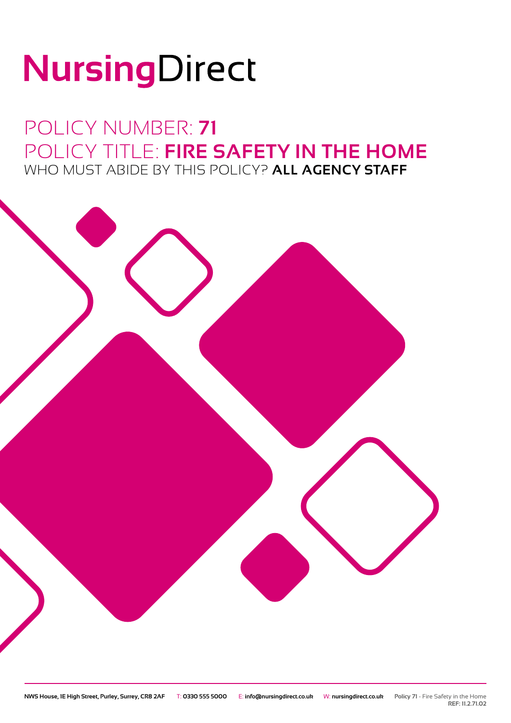# NursingDirect

### POLICY NUMBER: **71** POLICY TITLE: **FIRE SAFETY IN THE HOME** WHO MUST ABIDE BY THIS POLICY? **ALL AGENCY STAFF**



**REF: 11.2.71.02**